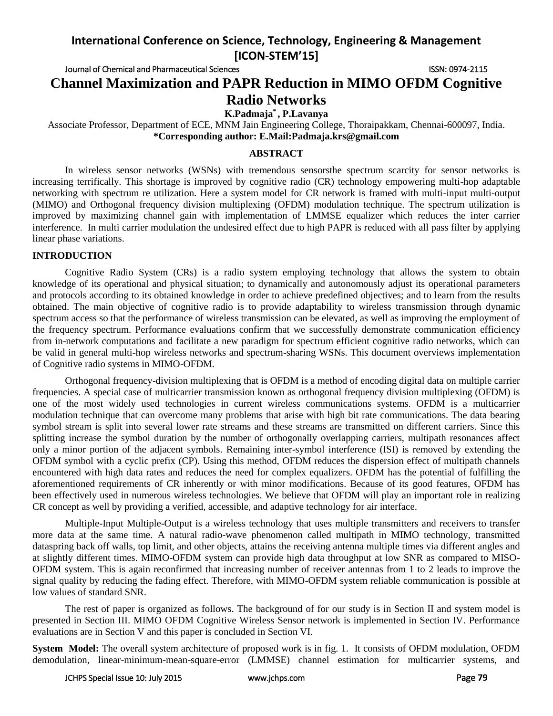Journal of Chemical and Pharmaceutical Sciences **ISSN: 0974-2115** ISSN: 0974-2115

# **Channel Maximization and PAPR Reduction in MIMO OFDM Cognitive Radio Networks**

**K.Padmaja\* , P.Lavanya**

Associate Professor, Department of ECE, MNM Jain Engineering College, Thoraipakkam, Chennai-600097, India. **\*Corresponding author: E.Mail[:Padmaja.krs@gmail.com](mailto:Padmaja.krs@gmail.com)**

## **ABSTRACT**

In wireless sensor networks (WSNs) with tremendous sensorsthe spectrum scarcity for sensor networks is increasing terrifically. This shortage is improved by cognitive radio (CR) technology empowering multi-hop adaptable networking with spectrum re utilization. Here a system model for CR network is framed with multi-input multi-output (MIMO) and Orthogonal frequency division multiplexing (OFDM) modulation technique. The spectrum utilization is improved by maximizing channel gain with implementation of LMMSE equalizer which reduces the inter carrier interference. In multi carrier modulation the undesired effect due to high PAPR is reduced with all pass filter by applying linear phase variations.

# **INTRODUCTION**

Cognitive Radio System (CRs) is a radio system employing technology that allows the system to obtain knowledge of its operational and physical situation; to dynamically and autonomously adjust its operational parameters and protocols according to its obtained knowledge in order to achieve predefined objectives; and to learn from the results obtained. The main objective of cognitive radio is to provide adaptability to wireless transmission through dynamic spectrum access so that the performance of wireless transmission can be elevated, as well as improving the employment of the frequency spectrum. Performance evaluations confirm that we successfully demonstrate communication efficiency from in-network computations and facilitate a new paradigm for spectrum efficient cognitive radio networks, which can be valid in general multi-hop wireless networks and spectrum-sharing WSNs. This document overviews implementation of Cognitive radio systems in MIMO-OFDM.

Orthogonal frequency-division multiplexing that is OFDM is a method of encoding digital data on multiple carrier frequencies. A special case of multicarrier transmission known as orthogonal frequency division multiplexing (OFDM) is one of the most widely used technologies in current wireless communications systems. OFDM is a multicarrier modulation technique that can overcome many problems that arise with high bit rate communications. The data bearing symbol stream is split into several lower rate streams and these streams are transmitted on different carriers. Since this splitting increase the symbol duration by the number of orthogonally overlapping carriers, multipath resonances affect only a minor portion of the adjacent symbols. Remaining inter-symbol interference (ISI) is removed by extending the OFDM symbol with a cyclic prefix (CP). Using this method, OFDM reduces the dispersion effect of multipath channels encountered with high data rates and reduces the need for complex equalizers. OFDM has the potential of fulfilling the aforementioned requirements of CR inherently or with minor modifications. Because of its good features, OFDM has been effectively used in numerous wireless technologies. We believe that OFDM will play an important role in realizing CR concept as well by providing a verified, accessible, and adaptive technology for air interface.

Multiple-Input Multiple-Output is a wireless technology that uses multiple transmitters and receivers to transfer more data at the same time. A natural radio-wave phenomenon called multipath in MIMO technology, transmitted dataspring back off walls, top limit, and other objects, attains the receiving antenna multiple times via different angles and at slightly different times. MIMO-OFDM system can provide high data throughput at low SNR as compared to MISO-OFDM system. This is again reconfirmed that increasing number of receiver antennas from 1 to 2 leads to improve the signal quality by reducing the fading effect. Therefore, with MIMO-OFDM system reliable communication is possible at low values of standard SNR.

The rest of paper is organized as follows. The background of for our study is in Section II and system model is presented in Section III. MIMO OFDM Cognitive Wireless Sensor network is implemented in Section IV. Performance evaluations are in Section V and this paper is concluded in Section VI.

**System Model:** The overall system architecture of proposed work is in fig. 1. It consists of OFDM modulation, OFDM demodulation, linear-minimum-mean-square-error (LMMSE) channel estimation for multicarrier systems, and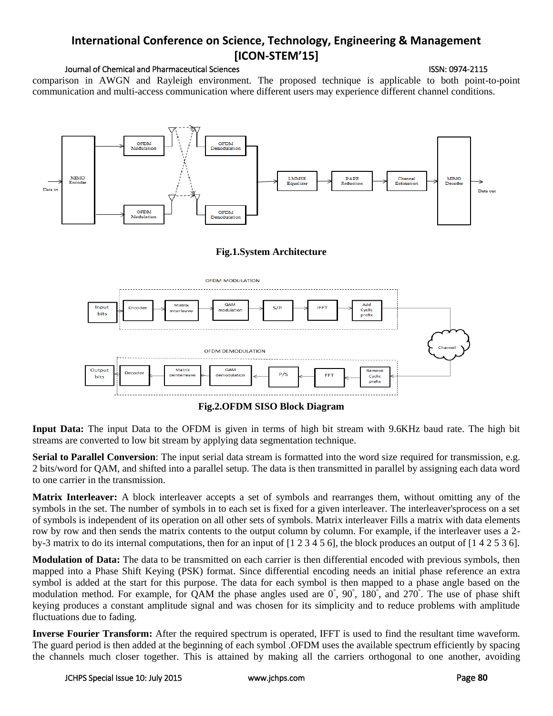## Journal of Chemical and Pharmaceutical Sciences **ISSN: 0974-2115** ISSN: 0974-2115

comparison in AWGN and Rayleigh environment. The proposed technique is applicable to both point-to-point communication and multi-access communication where different users may experience different channel conditions.



# **Fig.1.System Architecture**



# **Fig.2.OFDM SISO Block Diagram**

**Input Data:** The input Data to the OFDM is given in terms of high bit stream with 9.6KHz baud rate. The high bit streams are converted to low bit stream by applying data segmentation technique.

**Serial to Parallel Conversion**: The input serial data stream is formatted into the word size required for transmission, e.g. 2 bits/word for QAM, and shifted into a parallel setup. The data is then transmitted in parallel by assigning each data word to one carrier in the transmission.

**Matrix Interleaver:** A block interleaver accepts a set of symbols and rearranges them, without omitting any of the symbols in the set. The number of symbols in to each set is fixed for a given interleaver. The interleaver'sprocess on a set of symbols is independent of its operation on all other sets of symbols. Matrix interleaver Fills a matrix with data elements row by row and then sends the matrix contents to the output column by column. For example, if the interleaver uses a 2by-3 matrix to do its internal computations, then for an input of [1 2 3 4 5 6], the block produces an output of [1 4 2 5 3 6].

**Modulation of Data:** The data to be transmitted on each carrier is then differential encoded with previous symbols, then mapped into a Phase Shift Keying (PSK) format. Since differential encoding needs an initial phase reference an extra symbol is added at the start for this purpose. The data for each symbol is then mapped to a phase angle based on the modulation method. For example, for QAM the phase angles used are  $0^{\circ}$ ,  $90^{\circ}$ ,  $180^{\circ}$ , and  $270^{\circ}$ . The use of phase shift keying produces a constant amplitude signal and was chosen for its simplicity and to reduce problems with amplitude fluctuations due to fading.

**Inverse Fourier Transform:** After the required spectrum is operated, IFFT is used to find the resultant time waveform. The guard period is then added at the beginning of each symbol .OFDM uses the available spectrum efficiently by spacing the channels much closer together. This is attained by making all the carriers orthogonal to one another, avoiding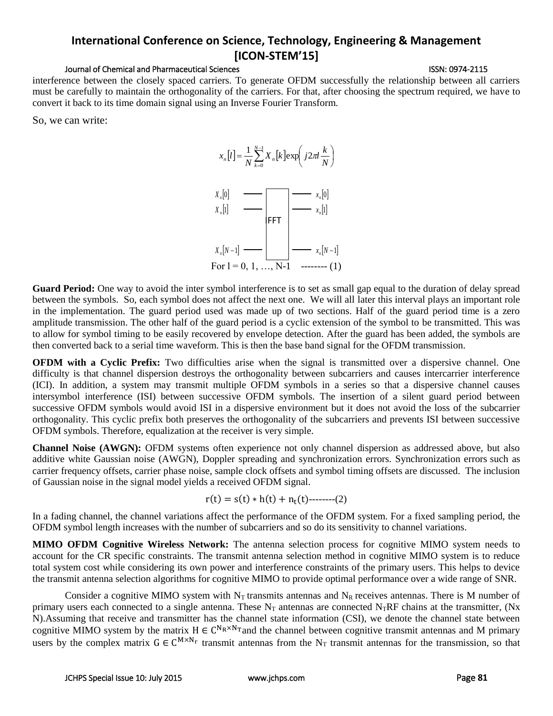## Journal of Chemical and Pharmaceutical Sciences ISSN: 0974-2115

interference between the closely spaced carriers. To generate OFDM successfully the relationship between all carriers must be carefully to maintain the orthogonality of the carriers. For that, after choosing the spectrum required, we have to convert it back to its time domain signal using an Inverse Fourier Transform.

So, we can write:



**Guard Period:** One way to avoid the inter symbol interference is to set as small gap equal to the duration of delay spread between the symbols. So, each symbol does not affect the next one. We will all later this interval plays an important role in the implementation. The guard period used was made up of two sections. Half of the guard period time is a zero amplitude transmission. The other half of the guard period is a cyclic extension of the symbol to be transmitted. This was to allow for symbol timing to be easily recovered by envelope detection. After the guard has been added, the symbols are then converted back to a serial time waveform. This is then the base band signal for the OFDM transmission.

**OFDM with a Cyclic Prefix:** Two difficulties arise when the signal is transmitted over a dispersive channel. One difficulty is that channel dispersion destroys the orthogonality between subcarriers and causes intercarrier interference (ICI). In addition, a system may transmit multiple OFDM symbols in a series so that a dispersive channel causes intersymbol interference (ISI) between successive OFDM symbols. The insertion of a silent guard period between successive OFDM symbols would avoid ISI in a dispersive environment but it does not avoid the loss of the subcarrier orthogonality. This cyclic prefix both preserves the orthogonality of the subcarriers and prevents ISI between successive OFDM symbols. Therefore, equalization at the receiver is very simple.

**Channel Noise (AWGN):** OFDM systems often experience not only channel dispersion as addressed above, but also additive white Gaussian noise (AWGN), Doppler spreading and synchronization errors. Synchronization errors such as carrier frequency offsets, carrier phase noise, sample clock offsets and symbol timing offsets are discussed. The inclusion of Gaussian noise in the signal model yields a received OFDM signal.

$$
r(t) = s(t) * h(t) + n_t(t) \quad (2)
$$

In a fading channel, the channel variations affect the performance of the OFDM system. For a fixed sampling period, the OFDM symbol length increases with the number of subcarriers and so do its sensitivity to channel variations.

**MIMO OFDM Cognitive Wireless Network:** The antenna selection process for cognitive MIMO system needs to account for the CR specific constraints. The transmit antenna selection method in cognitive MIMO system is to reduce total system cost while considering its own power and interference constraints of the primary users. This helps to device the transmit antenna selection algorithms for cognitive MIMO to provide optimal performance over a wide range of SNR.

Consider a cognitive MIMO system with  $N_T$  transmits antennas and  $N_R$  receives antennas. There is M number of primary users each connected to a single antenna. These  $N_T$  antennas are connected  $N_TRF$  chains at the transmitter, (Nx N).Assuming that receive and transmitter has the channel state information (CSI), we denote the channel state between cognitive MIMO system by the matrix  $H \in C^{N_R \times N_T}$  and the channel between cognitive transmit antennas and M primary users by the complex matrix  $G \in C^{M \times N_r}$  transmit antennas from the N<sub>T</sub> transmit antennas for the transmission, so that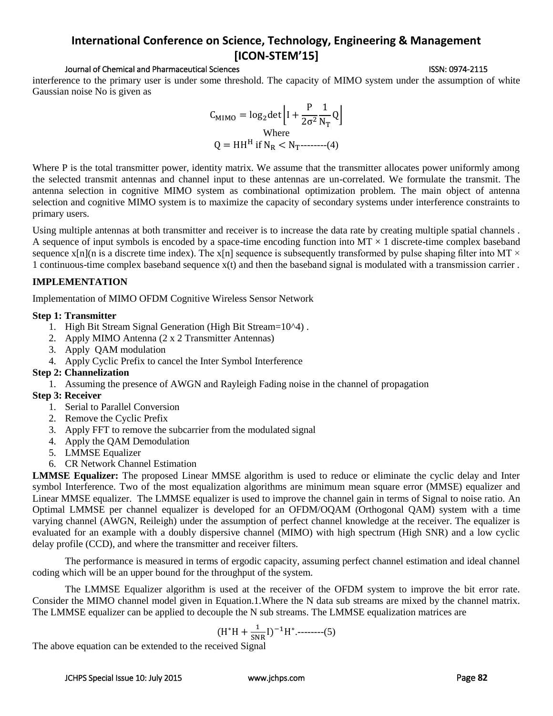## Journal of Chemical and Pharmaceutical Sciences ISSN: 0974-2115

interference to the primary user is under some threshold. The capacity of MIMO system under the assumption of white Gaussian noise No is given as

$$
C_{\text{MIMO}} = \log_2 \det \left[ I + \frac{P}{2\sigma^2} \frac{1}{N_T} Q \right]
$$
  
Where  

$$
Q = HH^H \text{ if } N_R < N_T
$$
-----(4)

Where P is the total transmitter power, identity matrix. We assume that the transmitter allocates power uniformly among the selected transmit antennas and channel input to these antennas are un-correlated. We formulate the transmit. The antenna selection in cognitive MIMO system as combinational optimization problem. The main object of antenna selection and cognitive MIMO system is to maximize the capacity of secondary systems under interference constraints to primary users.

Using multiple antennas at both transmitter and receiver is to increase the data rate by creating multiple spatial channels . A sequence of input symbols is encoded by a space-time encoding function into  $MT \times 1$  discrete-time complex baseband sequence  $x[n]$ (n is a discrete time index). The  $x[n]$  sequence is subsequently transformed by pulse shaping filter into MT  $\times$ 1 continuous-time complex baseband sequence x(t) and then the baseband signal is modulated with a transmission carrier .

## **IMPLEMENTATION**

Implementation of MIMO OFDM Cognitive Wireless Sensor Network

## **Step 1: Transmitter**

- 1. High Bit Stream Signal Generation (High Bit Stream=10^4) .
- 2. Apply MIMO Antenna (2 x 2 Transmitter Antennas)
- 3. Apply QAM modulation
- 4. Apply Cyclic Prefix to cancel the Inter Symbol Interference

# **Step 2: Channelization**

1. Assuming the presence of AWGN and Rayleigh Fading noise in the channel of propagation

# **Step 3: Receiver**

- 1. Serial to Parallel Conversion
- 2. Remove the Cyclic Prefix
- 3. Apply FFT to remove the subcarrier from the modulated signal
- 4. Apply the QAM Demodulation
- 5. LMMSE Equalizer
- 6. CR Network Channel Estimation

**LMMSE Equalizer:** The proposed Linear MMSE algorithm is used to reduce or eliminate the cyclic delay and Inter symbol Interference. Two of the most equalization algorithms are minimum mean square error (MMSE) equalizer and Linear MMSE equalizer. The LMMSE equalizer is used to improve the channel gain in terms of Signal to noise ratio. An Optimal LMMSE per channel equalizer is developed for an OFDM/OQAM (Orthogonal QAM) system with a time varying channel (AWGN, Reileigh) under the assumption of perfect channel knowledge at the receiver. The equalizer is evaluated for an example with a doubly dispersive channel (MIMO) with high spectrum (High SNR) and a low cyclic delay profile (CCD), and where the transmitter and receiver filters.

The performance is measured in terms of ergodic capacity, assuming perfect channel estimation and ideal channel coding which will be an upper bound for the throughput of the system.

The LMMSE Equalizer algorithm is used at the receiver of the OFDM system to improve the bit error rate. Consider the MIMO channel model given in Equation.1.Where the N data sub streams are mixed by the channel matrix. The LMMSE equalizer can be applied to decouple the N sub streams. The LMMSE equalization matrices are

$$
(H^*H + \frac{1}{SNR}I)^{-1}H^* \dots (5)
$$

The above equation can be extended to the received Signal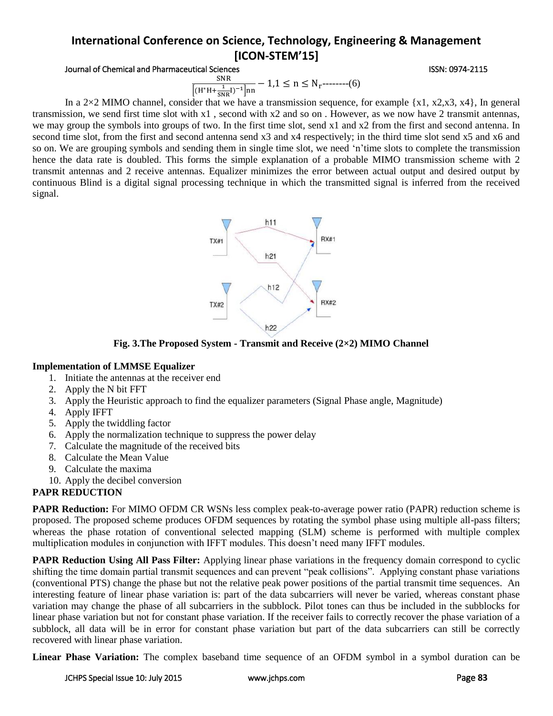## Journal of Chemical and Pharmaceutical Sciences **ISSN: 0974-2115** ISSN: 0974-2115

SNR  $\frac{34R}{[(H^*H + \frac{1}{SNR}I)^{-1}]nn} - 1,1 \le n \le N_r$ --------(6)

In a 2×2 MIMO channel, consider that we have a transmission sequence, for example  $\{x1, x2, x3, x4\}$ , In general transmission, we send first time slot with x1 , second with x2 and so on . However, as we now have 2 transmit antennas, we may group the symbols into groups of two. In the first time slot, send x1 and x2 from the first and second antenna. In second time slot, from the first and second antenna send x3 and x4 respectively; in the third time slot send x5 and x6 and so on. We are grouping symbols and sending them in single time slot, we need 'n'time slots to complete the transmission hence the data rate is doubled. This forms the simple explanation of a probable MIMO transmission scheme with 2 transmit antennas and 2 receive antennas. Equalizer minimizes the error between actual output and desired output by continuous Blind is a digital signal processing technique in which the transmitted signal is inferred from the received signal.



**Fig. 3.The Proposed System - Transmit and Receive (2×2) MIMO Channel**

# **Implementation of LMMSE Equalizer**

- 1. Initiate the antennas at the receiver end
- 2. Apply the N bit FFT
- 3. Apply the Heuristic approach to find the equalizer parameters (Signal Phase angle, Magnitude)
- 4. Apply IFFT
- 5. Apply the twiddling factor
- 6. Apply the normalization technique to suppress the power delay
- 7. Calculate the magnitude of the received bits
- 8. Calculate the Mean Value
- 9. Calculate the maxima
- 10. Apply the decibel conversion

# **PAPR REDUCTION**

**PAPR Reduction:** For MIMO OFDM CR WSNs less complex peak-to-average power ratio (PAPR) reduction scheme is proposed. The proposed scheme produces OFDM sequences by rotating the symbol phase using multiple all-pass filters; whereas the phase rotation of conventional selected mapping (SLM) scheme is performed with multiple complex multiplication modules in conjunction with IFFT modules. This doesn't need many IFFT modules.

**PAPR Reduction Using All Pass Filter:** Applying linear phase variations in the frequency domain correspond to cyclic shifting the time domain partial transmit sequences and can prevent "peak collisions". Applying constant phase variations (conventional PTS) change the phase but not the relative peak power positions of the partial transmit time sequences. An interesting feature of linear phase variation is: part of the data subcarriers will never be varied, whereas constant phase variation may change the phase of all subcarriers in the subblock. Pilot tones can thus be included in the subblocks for linear phase variation but not for constant phase variation. If the receiver fails to correctly recover the phase variation of a subblock, all data will be in error for constant phase variation but part of the data subcarriers can still be correctly recovered with linear phase variation.

**Linear Phase Variation:** The complex baseband time sequence of an OFDM symbol in a symbol duration can be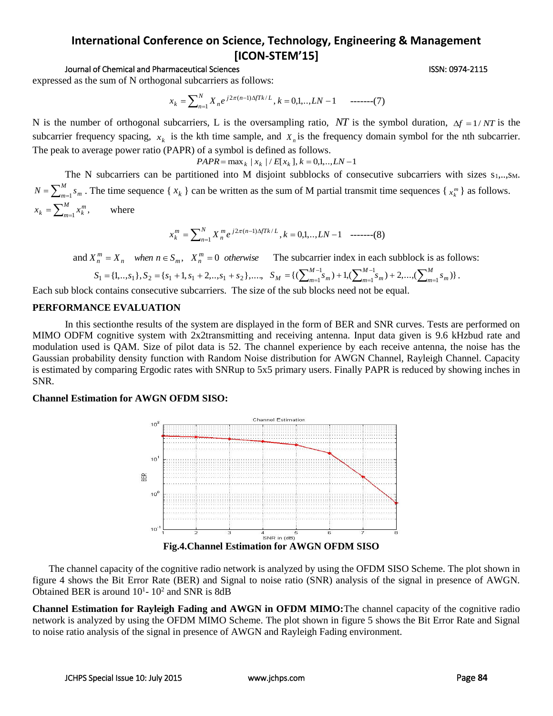### Journal of Chemical and Pharmaceutical Sciences ISSN: 0974-2115

expressed as the sum of N orthogonal subcarriers as follows:

$$
x_k = \sum_{n=1}^{N} X_n e^{j2\pi(n-1)\Delta f T k/L}, k = 0, 1, \dots, LN - 1 \quad \text{---(7)}
$$

N is the number of orthogonal subcarriers, L is the oversampling ratio, NT is the symbol duration,  $\Delta f = 1/NT$  is the subcarrier frequency spacing,  $x_k$  is the kth time sample, and  $X_n$  is the frequency domain symbol for the nth subcarrier. The peak to average power ratio (PAPR) of a symbol is defined as follows.

$$
PAPR = \max_{k} |x_{k}| / E[x_{k}], k = 0, 1, \dots, LN - 1
$$

The N subcarriers can be partitioned into M disjoint subblocks of consecutive subcarriers with sizes  $s_1$ ,.., $s_M$ .  $N = \sum_{m=1}^{M} s_m$ . The time sequence {  $x_k$  } can be written as the sum of M partial transmit time sequences {  $x_k^m$  } as follows.  $=\sum_{m=1}^{M}x_{k}^{m},$ *m*  $x_k = \sum_{m=1}^{M} x_k^m$ where

$$
x_k^m = \sum_{n=1}^N X_n^m e^{j2\pi(n-1)\Delta f T k/L}, k = 0, 1, \dots, LN - 1 \quad \text{---}(8)
$$

and  $X_n^m = X_n$  when  $n \in S_m$ ,  $X_n^m = 0$  otherwise The subcarrier index in each subblock is as follows:

$$
S_1 = \{1, ..., s_1\}, S_2 = \{s_1 + 1, s_1 + 2, ..., s_1 + s_2\}, \dots, \quad S_M = \{(\sum_{m=1}^{M-1} s_m) + 1, (\sum_{m=1}^{M-1} s_m) + 2, ..., (\sum_{m=1}^{M} s_m)\}.
$$

Each sub block contains consecutive subcarriers. The size of the sub blocks need not be equal.

### **PERFORMANCE EVALUATION**

In this sectionthe results of the system are displayed in the form of BER and SNR curves. Tests are performed on MIMO ODFM cognitive system with 2x2transmitting and receiving antenna. Input data given is 9.6 kHzbud rate and modulation used is QAM. Size of pilot data is 52. The channel experience by each receive antenna, the noise has the Gaussian probability density function with Random Noise distribution for AWGN Channel, Rayleigh Channel. Capacity is estimated by comparing Ergodic rates with SNRup to 5x5 primary users. Finally PAPR is reduced by showing inches in SNR.

## **Channel Estimation for AWGN OFDM SISO:**



The channel capacity of the cognitive radio network is analyzed by using the OFDM SISO Scheme. The plot shown in figure 4 shows the Bit Error Rate (BER) and Signal to noise ratio (SNR) analysis of the signal in presence of AWGN. Obtained BER is around  $10^{1}$ -  $10^{2}$  and SNR is 8dB

**Channel Estimation for Rayleigh Fading and AWGN in OFDM MIMO:**The channel capacity of the cognitive radio network is analyzed by using the OFDM MIMO Scheme. The plot shown in figure 5 shows the Bit Error Rate and Signal to noise ratio analysis of the signal in presence of AWGN and Rayleigh Fading environment.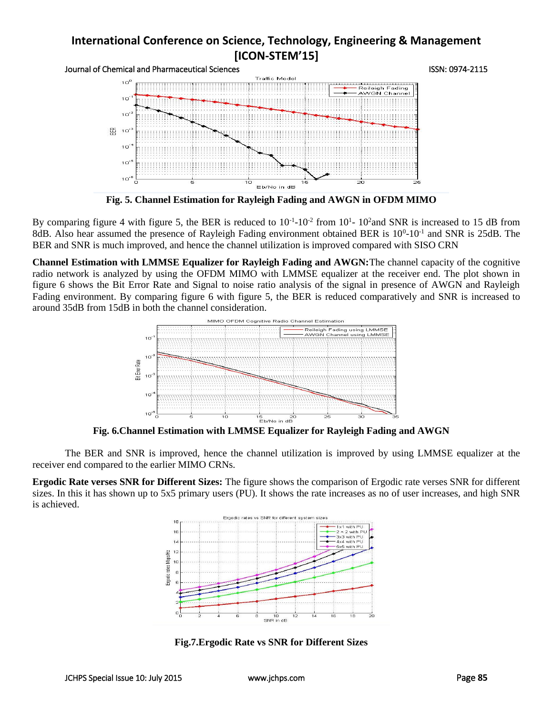Journal of Chemical and Pharmaceutical Sciences<br>
Traffic Model Pharmaceutical Sciences



**Fig. 5. Channel Estimation for Rayleigh Fading and AWGN in OFDM MIMO**

By comparing figure 4 with figure 5, the BER is reduced to  $10^{-1}$ - $10^{-2}$  from  $10^{1}$ -  $10^{2}$  and SNR is increased to 15 dB from 8dB. Also hear assumed the presence of Rayleigh Fading environment obtained BER is  $10^0$ - $10^{-1}$  and SNR is 25dB. The BER and SNR is much improved, and hence the channel utilization is improved compared with SISO CRN

**Channel Estimation with LMMSE Equalizer for Rayleigh Fading and AWGN:**The channel capacity of the cognitive radio network is analyzed by using the OFDM MIMO with LMMSE equalizer at the receiver end. The plot shown in figure 6 shows the Bit Error Rate and Signal to noise ratio analysis of the signal in presence of AWGN and Rayleigh Fading environment. By comparing figure 6 with figure 5, the BER is reduced comparatively and SNR is increased to around 35dB from 15dB in both the channel consideration.



**Fig. 6.Channel Estimation with LMMSE Equalizer for Rayleigh Fading and AWGN**

The BER and SNR is improved, hence the channel utilization is improved by using LMMSE equalizer at the receiver end compared to the earlier MIMO CRNs.

**Ergodic Rate verses SNR for Different Sizes:** The figure shows the comparison of Ergodic rate verses SNR for different sizes. In this it has shown up to 5x5 primary users (PU). It shows the rate increases as no of user increases, and high SNR is achieved.

![](_page_6_Figure_11.jpeg)

**Fig.7.Ergodic Rate vs SNR for Different Sizes**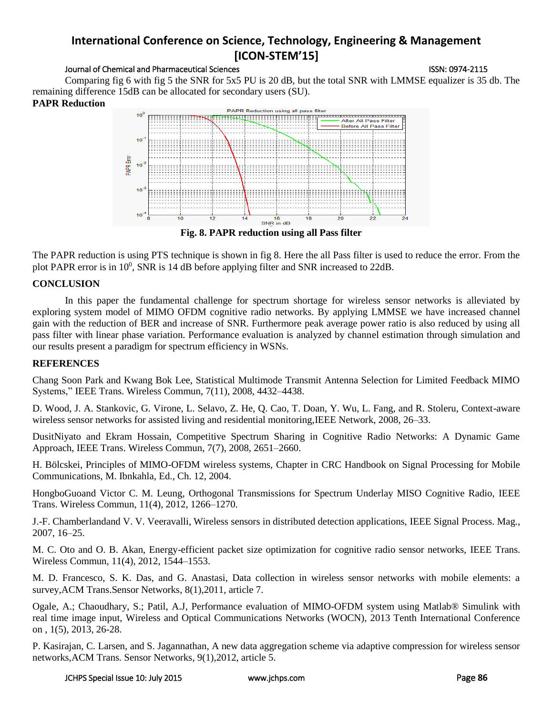## Journal of Chemical and Pharmaceutical Sciences **ISSN: 0974-2115** ISSN: 0974-2115

Comparing fig 6 with fig 5 the SNR for 5x5 PU is 20 dB, but the total SNR with LMMSE equalizer is 35 db. The remaining difference 15dB can be allocated for secondary users (SU).

# **PAPR Reduction**

![](_page_7_Figure_5.jpeg)

The PAPR reduction is using PTS technique is shown in fig 8. Here the all Pass filter is used to reduce the error. From the plot PAPR error is in 10<sup>0</sup>, SNR is 14 dB before applying filter and SNR increased to 22dB.

# **CONCLUSION**

In this paper the fundamental challenge for spectrum shortage for wireless sensor networks is alleviated by exploring system model of MIMO OFDM cognitive radio networks. By applying LMMSE we have increased channel gain with the reduction of BER and increase of SNR. Furthermore peak average power ratio is also reduced by using all pass filter with linear phase variation. Performance evaluation is analyzed by channel estimation through simulation and our results present a paradigm for spectrum efficiency in WSNs.

# **REFERENCES**

Chang Soon Park and Kwang Bok Lee, Statistical Multimode Transmit Antenna Selection for Limited Feedback MIMO Systems," IEEE Trans. Wireless Commun, 7(11), 2008, 4432–4438.

D. Wood, J. A. Stankovic, G. Virone, L. Selavo, Z. He, Q. Cao, T. Doan, Y. Wu, L. Fang, and R. Stoleru, Context-aware wireless sensor networks for assisted living and residential monitoring,IEEE Network, 2008, 26–33.

DusitNiyato and Ekram Hossain, Competitive Spectrum Sharing in Cognitive Radio Networks: A Dynamic Game Approach, IEEE Trans. Wireless Commun, 7(7), 2008, 2651–2660.

H. Bölcskei, Principles of MIMO-OFDM wireless systems, Chapter in CRC Handbook on Signal Processing for Mobile Communications, M. Ibnkahla, Ed., Ch. 12, 2004.

HongboGuoand Victor C. M. Leung, Orthogonal Transmissions for Spectrum Underlay MISO Cognitive Radio, IEEE Trans. Wireless Commun, 11(4), 2012, 1266–1270.

J.-F. Chamberlandand V. V. Veeravalli, Wireless sensors in distributed detection applications, IEEE Signal Process. Mag., 2007, 16–25.

M. C. Oto and O. B. Akan, Energy-efficient packet size optimization for cognitive radio sensor networks, IEEE Trans. Wireless Commun, 11(4), 2012, 1544–1553.

M. D. Francesco, S. K. Das, and G. Anastasi, Data collection in wireless sensor networks with mobile elements: a survey,ACM Trans.Sensor Networks, 8(1),2011, article 7.

Ogale, A.; Chaoudhary, S.; Patil, A.J, Performance evaluation of MIMO-OFDM system using Matlab® Simulink with real time image input, Wireless and Optical Communications Networks (WOCN), 2013 Tenth International Conference on , 1(5), 2013, 26-28.

P. Kasirajan, C. Larsen, and S. Jagannathan, A new data aggregation scheme via adaptive compression for wireless sensor networks,ACM Trans. Sensor Networks, 9(1),2012, article 5.